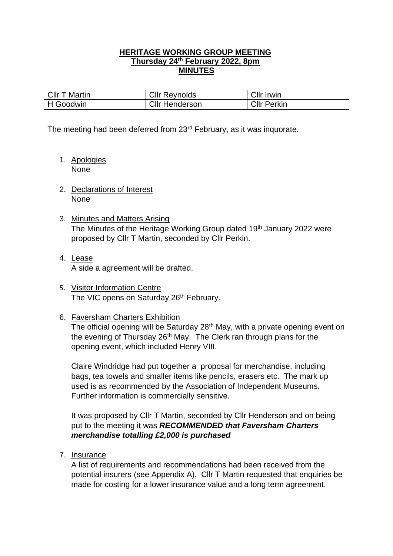## **HERITAGE WORKING GROUP MEETING Thursday 24th February 2022, 8pm MINUTES**

| <b>CIIr T Martin</b> | <b>Cllr Reynolds</b>  | <b>Cllr Irwin</b>  |
|----------------------|-----------------------|--------------------|
| H Goodwin            | <b>Cllr Henderson</b> | <b>Cllr Perkin</b> |

The meeting had been deferred from 23<sup>rd</sup> February, as it was inquorate.

- 1. Apologies None
- 2. Declarations of Interest None
- 3. Minutes and Matters Arising The Minutes of the Heritage Working Group dated 19<sup>th</sup> January 2022 were proposed by Cllr T Martin, seconded by Cllr Perkin.
- 4. Lease A side a agreement will be drafted.
- 5. Visitor Information Centre The VIC opens on Saturday 26th February.

### 6. Faversham Charters Exhibition

The official opening will be Saturday 28<sup>th</sup> May, with a private opening event on the evening of Thursday 26<sup>th</sup> May. The Clerk ran through plans for the opening event, which included Henry VIII.

Claire Windridge had put together a proposal for merchandise, including bags, tea towels and smaller items like pencils, erasers etc. The mark up used is as recommended by the Association of Independent Museums. Further information is commercially sensitive.

It was proposed by Cllr T Martin, seconded by Cllr Henderson and on being put to the meeting it was *RECOMMENDED that Faversham Charters merchandise totalling £2,000 is purchased*

7. Insurance

A list of requirements and recommendations had been received from the potential insurers (see Appendix A). Cllr T Martin requested that enquiries be made for costing for a lower insurance value and a long term agreement.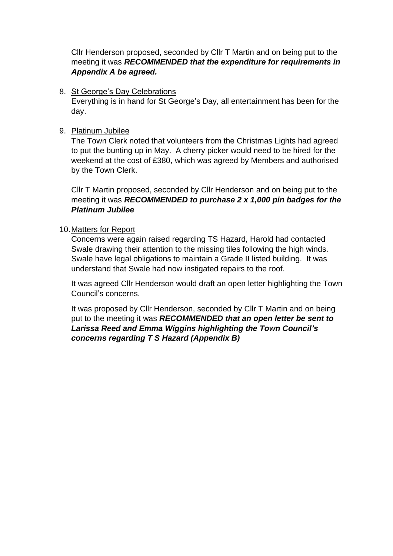Cllr Henderson proposed, seconded by Cllr T Martin and on being put to the meeting it was *RECOMMENDED that the expenditure for requirements in Appendix A be agreed.*

8. St George's Day Celebrations

Everything is in hand for St George's Day, all entertainment has been for the day.

### 9. Platinum Jubilee

The Town Clerk noted that volunteers from the Christmas Lights had agreed to put the bunting up in May. A cherry picker would need to be hired for the weekend at the cost of £380, which was agreed by Members and authorised by the Town Clerk.

Cllr T Martin proposed, seconded by Cllr Henderson and on being put to the meeting it was *RECOMMENDED to purchase 2 x 1,000 pin badges for the Platinum Jubilee* 

## 10.Matters for Report

Concerns were again raised regarding TS Hazard, Harold had contacted Swale drawing their attention to the missing tiles following the high winds. Swale have legal obligations to maintain a Grade II listed building. It was understand that Swale had now instigated repairs to the roof.

It was agreed Cllr Henderson would draft an open letter highlighting the Town Council's concerns.

It was proposed by Cllr Henderson, seconded by Cllr T Martin and on being put to the meeting it was *RECOMMENDED that an open letter be sent to Larissa Reed and Emma Wiggins highlighting the Town Council's concerns regarding T S Hazard (Appendix B)*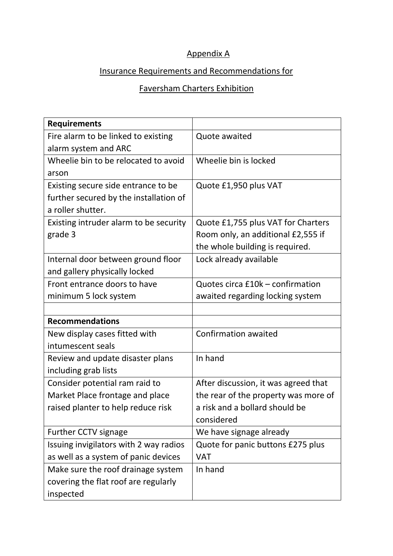## Appendix A

## Insurance Requirements and Recommendations for

# Faversham Charters Exhibition

| <b>Requirements</b>                    |                                      |
|----------------------------------------|--------------------------------------|
| Fire alarm to be linked to existing    | Quote awaited                        |
| alarm system and ARC                   |                                      |
| Wheelie bin to be relocated to avoid   | Wheelie bin is locked                |
| arson                                  |                                      |
| Existing secure side entrance to be    | Quote £1,950 plus VAT                |
| further secured by the installation of |                                      |
| a roller shutter.                      |                                      |
| Existing intruder alarm to be security | Quote £1,755 plus VAT for Charters   |
| grade 3                                | Room only, an additional £2,555 if   |
|                                        | the whole building is required.      |
| Internal door between ground floor     | Lock already available               |
| and gallery physically locked          |                                      |
| Front entrance doors to have           | Quotes circa £10k - confirmation     |
| minimum 5 lock system                  | awaited regarding locking system     |
|                                        |                                      |
| <b>Recommendations</b>                 |                                      |
| New display cases fitted with          | <b>Confirmation awaited</b>          |
| intumescent seals                      |                                      |
| Review and update disaster plans       | In hand                              |
| including grab lists                   |                                      |
| Consider potential ram raid to         | After discussion, it was agreed that |
| Market Place frontage and place        | the rear of the property was more of |
| raised planter to help reduce risk     | a risk and a bollard should be       |
|                                        | considered                           |
| Further CCTV signage                   | We have signage already              |
| Issuing invigilators with 2 way radios | Quote for panic buttons £275 plus    |
| as well as a system of panic devices   | <b>VAT</b>                           |
| Make sure the roof drainage system     | In hand                              |
| covering the flat roof are regularly   |                                      |
| inspected                              |                                      |